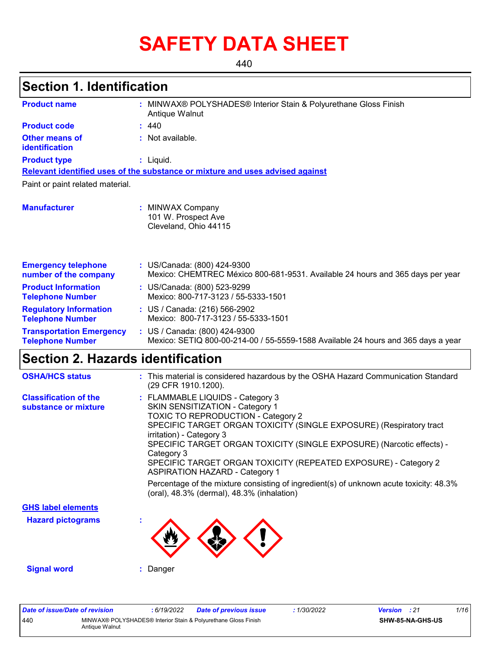# **SAFETY DATA SHEET**

440

### **Section 1. Identification**

| <b>Product name</b>                                        | : MINWAX® POLYSHADES® Interior Stain & Polyurethane Gloss Finish<br>Antique Walnut |                                                                                                                    |  |  |  |  |  |
|------------------------------------------------------------|------------------------------------------------------------------------------------|--------------------------------------------------------------------------------------------------------------------|--|--|--|--|--|
| <b>Product code</b>                                        |                                                                                    | : 440                                                                                                              |  |  |  |  |  |
| Other means of<br>identification                           |                                                                                    | : Not available.                                                                                                   |  |  |  |  |  |
| <b>Product type</b>                                        |                                                                                    | $:$ Liquid.                                                                                                        |  |  |  |  |  |
|                                                            |                                                                                    | Relevant identified uses of the substance or mixture and uses advised against                                      |  |  |  |  |  |
| Paint or paint related material.                           |                                                                                    |                                                                                                                    |  |  |  |  |  |
| <b>Manufacturer</b>                                        |                                                                                    | : MINWAX Company<br>101 W. Prospect Ave<br>Cleveland, Ohio 44115                                                   |  |  |  |  |  |
| <b>Emergency telephone</b><br>number of the company        |                                                                                    | : US/Canada: (800) 424-9300<br>Mexico: CHEMTREC México 800-681-9531. Available 24 hours and 365 days per year      |  |  |  |  |  |
| <b>Product Information</b><br><b>Telephone Number</b>      |                                                                                    | : US/Canada: (800) 523-9299<br>Mexico: 800-717-3123 / 55-5333-1501                                                 |  |  |  |  |  |
| <b>Regulatory Information</b><br><b>Telephone Number</b>   |                                                                                    | : US / Canada: (216) 566-2902<br>Mexico: 800-717-3123 / 55-5333-1501                                               |  |  |  |  |  |
| <b>Transportation Emergency</b><br><b>Telephone Number</b> |                                                                                    | : US / Canada: (800) 424-9300<br>Mexico: SETIQ 800-00-214-00 / 55-5559-1588 Available 24 hours and 365 days a year |  |  |  |  |  |

## **Section 2. Hazards identification**

| <b>OSHA/HCS status</b>                               | : This material is considered hazardous by the OSHA Hazard Communication Standard<br>(29 CFR 1910.1200).                                                                                                                                                                                                                                                                                                                                                                                                                                                   |
|------------------------------------------------------|------------------------------------------------------------------------------------------------------------------------------------------------------------------------------------------------------------------------------------------------------------------------------------------------------------------------------------------------------------------------------------------------------------------------------------------------------------------------------------------------------------------------------------------------------------|
| <b>Classification of the</b><br>substance or mixture | : FLAMMABLE LIQUIDS - Category 3<br>SKIN SENSITIZATION - Category 1<br>TOXIC TO REPRODUCTION - Category 2<br>SPECIFIC TARGET ORGAN TOXICITY (SINGLE EXPOSURE) (Respiratory tract<br>irritation) - Category 3<br>SPECIFIC TARGET ORGAN TOXICITY (SINGLE EXPOSURE) (Narcotic effects) -<br>Category 3<br>SPECIFIC TARGET ORGAN TOXICITY (REPEATED EXPOSURE) - Category 2<br><b>ASPIRATION HAZARD - Category 1</b><br>Percentage of the mixture consisting of ingredient(s) of unknown acute toxicity: $48.3\%$<br>(oral), 48.3% (dermal), 48.3% (inhalation) |
| <b>GHS label elements</b>                            |                                                                                                                                                                                                                                                                                                                                                                                                                                                                                                                                                            |
| <b>Hazard pictograms</b>                             | ٠                                                                                                                                                                                                                                                                                                                                                                                                                                                                                                                                                          |
| <b>Signal word</b>                                   | Danger                                                                                                                                                                                                                                                                                                                                                                                                                                                                                                                                                     |

| Date of issue/Date of revision |                                                                                  | : 6/19/2022 | <b>Date of previous issue</b> | : 1/30/2022 | <b>Version</b> : 21 |                  | 1/16 |
|--------------------------------|----------------------------------------------------------------------------------|-------------|-------------------------------|-------------|---------------------|------------------|------|
| 440                            | MINWAX® POLYSHADES® Interior Stain & Polyurethane Gloss Finish<br>Antique Walnut |             |                               |             |                     | SHW-85-NA-GHS-US |      |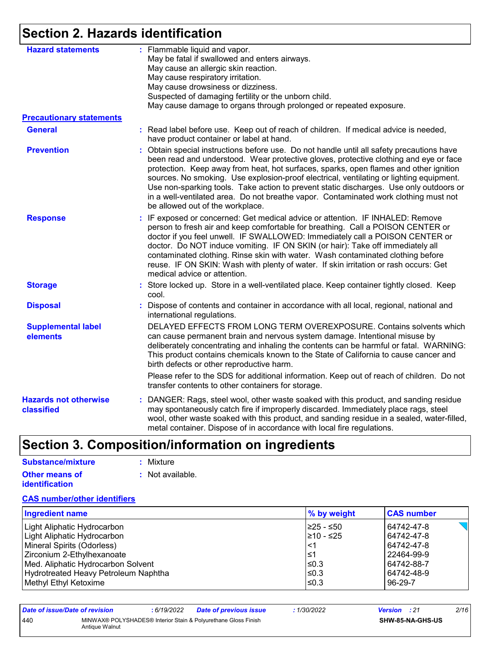## **Section 2. Hazards identification**

| <b>Hazard statements</b>                   | : Flammable liquid and vapor.<br>May be fatal if swallowed and enters airways.                                                                                                                                                                                                                                                                                                                                                                                                                                                                                                             |
|--------------------------------------------|--------------------------------------------------------------------------------------------------------------------------------------------------------------------------------------------------------------------------------------------------------------------------------------------------------------------------------------------------------------------------------------------------------------------------------------------------------------------------------------------------------------------------------------------------------------------------------------------|
|                                            | May cause an allergic skin reaction.                                                                                                                                                                                                                                                                                                                                                                                                                                                                                                                                                       |
|                                            | May cause respiratory irritation.                                                                                                                                                                                                                                                                                                                                                                                                                                                                                                                                                          |
|                                            | May cause drowsiness or dizziness.                                                                                                                                                                                                                                                                                                                                                                                                                                                                                                                                                         |
|                                            | Suspected of damaging fertility or the unborn child.                                                                                                                                                                                                                                                                                                                                                                                                                                                                                                                                       |
|                                            | May cause damage to organs through prolonged or repeated exposure.                                                                                                                                                                                                                                                                                                                                                                                                                                                                                                                         |
| <b>Precautionary statements</b>            |                                                                                                                                                                                                                                                                                                                                                                                                                                                                                                                                                                                            |
| <b>General</b>                             | : Read label before use. Keep out of reach of children. If medical advice is needed,<br>have product container or label at hand.                                                                                                                                                                                                                                                                                                                                                                                                                                                           |
| <b>Prevention</b>                          | Obtain special instructions before use. Do not handle until all safety precautions have<br>been read and understood. Wear protective gloves, protective clothing and eye or face<br>protection. Keep away from heat, hot surfaces, sparks, open flames and other ignition<br>sources. No smoking. Use explosion-proof electrical, ventilating or lighting equipment.<br>Use non-sparking tools. Take action to prevent static discharges. Use only outdoors or<br>in a well-ventilated area. Do not breathe vapor. Contaminated work clothing must not<br>be allowed out of the workplace. |
| <b>Response</b>                            | : IF exposed or concerned: Get medical advice or attention. IF INHALED: Remove<br>person to fresh air and keep comfortable for breathing. Call a POISON CENTER or<br>doctor if you feel unwell. IF SWALLOWED: Immediately call a POISON CENTER or<br>doctor. Do NOT induce vomiting. IF ON SKIN (or hair): Take off immediately all<br>contaminated clothing. Rinse skin with water. Wash contaminated clothing before<br>reuse. IF ON SKIN: Wash with plenty of water. If skin irritation or rash occurs: Get<br>medical advice or attention.                                             |
| <b>Storage</b>                             | : Store locked up. Store in a well-ventilated place. Keep container tightly closed. Keep<br>cool.                                                                                                                                                                                                                                                                                                                                                                                                                                                                                          |
| <b>Disposal</b>                            | Dispose of contents and container in accordance with all local, regional, national and<br>international regulations.                                                                                                                                                                                                                                                                                                                                                                                                                                                                       |
| <b>Supplemental label</b><br>elements      | DELAYED EFFECTS FROM LONG TERM OVEREXPOSURE. Contains solvents which<br>can cause permanent brain and nervous system damage. Intentional misuse by<br>deliberately concentrating and inhaling the contents can be harmful or fatal. WARNING:<br>This product contains chemicals known to the State of California to cause cancer and<br>birth defects or other reproductive harm.                                                                                                                                                                                                          |
|                                            | Please refer to the SDS for additional information. Keep out of reach of children. Do not<br>transfer contents to other containers for storage.                                                                                                                                                                                                                                                                                                                                                                                                                                            |
| <b>Hazards not otherwise</b><br>classified | : DANGER: Rags, steel wool, other waste soaked with this product, and sanding residue<br>may spontaneously catch fire if improperly discarded. Immediately place rags, steel<br>wool, other waste soaked with this product, and sanding residue in a sealed, water-filled,<br>metal container. Dispose of in accordance with local fire regulations.                                                                                                                                                                                                                                       |

## **Section 3. Composition/information on ingredients**

| Substance/mixture     | : Mixture        |
|-----------------------|------------------|
| <b>Other means of</b> | : Not available. |
| <b>identification</b> |                  |

#### **CAS number/other identifiers**

| <b>Ingredient name</b>               | % by weight | <b>CAS number</b> |
|--------------------------------------|-------------|-------------------|
| Light Aliphatic Hydrocarbon          | I≥25 - ≤50  | 64742-47-8        |
| Light Aliphatic Hydrocarbon          | 1≥10 - ≤25  | 64742-47-8        |
| Mineral Spirits (Odorless)           | ∣<1         | 64742-47-8        |
| Zirconium 2-Ethylhexanoate           | l≤1         | 22464-99-9        |
| Med. Aliphatic Hydrocarbon Solvent   | ≤0.3        | 64742-88-7        |
| Hydrotreated Heavy Petroleum Naphtha | ≤0.3        | 64742-48-9        |
| Methyl Ethyl Ketoxime                | $\leq$ 0.3  | 96-29-7           |

| Date of issue/Date of revision |                | 6/19/2022 | <b>Date of previous issue</b>                                  | : 1/30/2022 | <b>Version</b> : 21 |                  | 2/16 |
|--------------------------------|----------------|-----------|----------------------------------------------------------------|-------------|---------------------|------------------|------|
| 440                            | Antique Walnut |           | MINWAX® POLYSHADES® Interior Stain & Polyurethane Gloss Finish |             |                     | SHW-85-NA-GHS-US |      |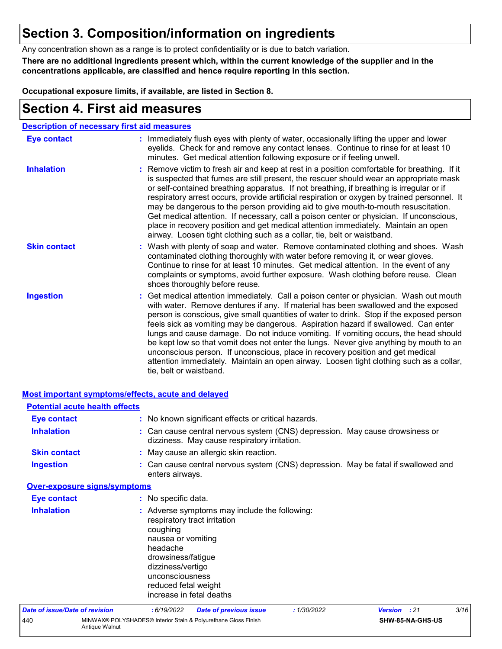### **Section 3. Composition/information on ingredients**

Any concentration shown as a range is to protect confidentiality or is due to batch variation.

**There are no additional ingredients present which, within the current knowledge of the supplier and in the concentrations applicable, are classified and hence require reporting in this section.**

**Occupational exposure limits, if available, are listed in Section 8.**

### **Section 4. First aid measures**

| <b>Description of necessary first aid measures</b> |                                                                                                                                                                                                                                                                                                                                                                                                                                                                                                                                                                                                                                                                                                                                                         |
|----------------------------------------------------|---------------------------------------------------------------------------------------------------------------------------------------------------------------------------------------------------------------------------------------------------------------------------------------------------------------------------------------------------------------------------------------------------------------------------------------------------------------------------------------------------------------------------------------------------------------------------------------------------------------------------------------------------------------------------------------------------------------------------------------------------------|
| <b>Eye contact</b>                                 | : Immediately flush eyes with plenty of water, occasionally lifting the upper and lower<br>eyelids. Check for and remove any contact lenses. Continue to rinse for at least 10<br>minutes. Get medical attention following exposure or if feeling unwell.                                                                                                                                                                                                                                                                                                                                                                                                                                                                                               |
| <b>Inhalation</b>                                  | : Remove victim to fresh air and keep at rest in a position comfortable for breathing. If it<br>is suspected that fumes are still present, the rescuer should wear an appropriate mask<br>or self-contained breathing apparatus. If not breathing, if breathing is irregular or if<br>respiratory arrest occurs, provide artificial respiration or oxygen by trained personnel. It<br>may be dangerous to the person providing aid to give mouth-to-mouth resuscitation.<br>Get medical attention. If necessary, call a poison center or physician. If unconscious,<br>place in recovery position and get medical attention immediately. Maintain an open<br>airway. Loosen tight clothing such as a collar, tie, belt or waistband.                    |
| <b>Skin contact</b>                                | : Wash with plenty of soap and water. Remove contaminated clothing and shoes. Wash<br>contaminated clothing thoroughly with water before removing it, or wear gloves.<br>Continue to rinse for at least 10 minutes. Get medical attention. In the event of any<br>complaints or symptoms, avoid further exposure. Wash clothing before reuse. Clean<br>shoes thoroughly before reuse.                                                                                                                                                                                                                                                                                                                                                                   |
| <b>Ingestion</b>                                   | : Get medical attention immediately. Call a poison center or physician. Wash out mouth<br>with water. Remove dentures if any. If material has been swallowed and the exposed<br>person is conscious, give small quantities of water to drink. Stop if the exposed person<br>feels sick as vomiting may be dangerous. Aspiration hazard if swallowed. Can enter<br>lungs and cause damage. Do not induce vomiting. If vomiting occurs, the head should<br>be kept low so that vomit does not enter the lungs. Never give anything by mouth to an<br>unconscious person. If unconscious, place in recovery position and get medical<br>attention immediately. Maintain an open airway. Loosen tight clothing such as a collar,<br>tie, belt or waistband. |

| <b>Most important symptoms/effects, acute and delayed</b> |                                     |                                                                                                                                                              |                                                                                                                              |             |              |                  |      |
|-----------------------------------------------------------|-------------------------------------|--------------------------------------------------------------------------------------------------------------------------------------------------------------|------------------------------------------------------------------------------------------------------------------------------|-------------|--------------|------------------|------|
| <b>Potential acute health effects</b>                     |                                     |                                                                                                                                                              |                                                                                                                              |             |              |                  |      |
| <b>Eye contact</b>                                        |                                     |                                                                                                                                                              | : No known significant effects or critical hazards.                                                                          |             |              |                  |      |
| <b>Inhalation</b>                                         |                                     |                                                                                                                                                              | : Can cause central nervous system (CNS) depression. May cause drowsiness or<br>dizziness. May cause respiratory irritation. |             |              |                  |      |
| <b>Skin contact</b>                                       |                                     |                                                                                                                                                              | : May cause an allergic skin reaction.                                                                                       |             |              |                  |      |
| <b>Ingestion</b>                                          |                                     | enters airways.                                                                                                                                              | : Can cause central nervous system (CNS) depression. May be fatal if swallowed and                                           |             |              |                  |      |
|                                                           | <b>Over-exposure signs/symptoms</b> |                                                                                                                                                              |                                                                                                                              |             |              |                  |      |
| <b>Eye contact</b>                                        |                                     | : No specific data.                                                                                                                                          |                                                                                                                              |             |              |                  |      |
| <b>Inhalation</b>                                         |                                     | coughing<br>nausea or vomiting<br>headache<br>drowsiness/fatigue<br>dizziness/vertigo<br>unconsciousness<br>reduced fetal weight<br>increase in fetal deaths | : Adverse symptoms may include the following:<br>respiratory tract irritation                                                |             |              |                  |      |
| <b>Date of issue/Date of revision</b>                     |                                     | : 6/19/2022                                                                                                                                                  | <b>Date of previous issue</b>                                                                                                | : 1/30/2022 | Version : 21 |                  | 3/16 |
| 440                                                       | Antique Walnut                      |                                                                                                                                                              | MINWAX® POLYSHADES® Interior Stain & Polyurethane Gloss Finish                                                               |             |              | SHW-85-NA-GHS-US |      |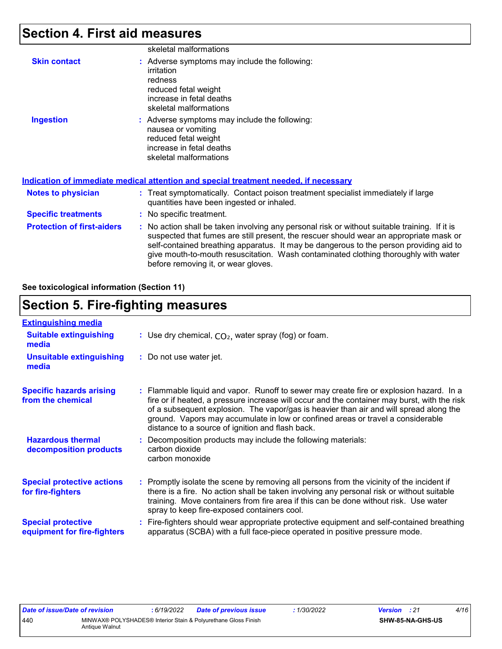## **Section 4. First aid measures**

|                                   | skeletal malformations                                                                                                                                                                                                                                                                                                                                                                                          |
|-----------------------------------|-----------------------------------------------------------------------------------------------------------------------------------------------------------------------------------------------------------------------------------------------------------------------------------------------------------------------------------------------------------------------------------------------------------------|
| <b>Skin contact</b>               | : Adverse symptoms may include the following:<br>irritation<br>redness<br>reduced fetal weight<br>increase in fetal deaths<br>skeletal malformations                                                                                                                                                                                                                                                            |
| <b>Ingestion</b>                  | : Adverse symptoms may include the following:<br>nausea or vomiting<br>reduced fetal weight<br>increase in fetal deaths<br>skeletal malformations<br>Indication of immediate medical attention and special treatment needed, if necessary                                                                                                                                                                       |
| <b>Notes to physician</b>         | : Treat symptomatically. Contact poison treatment specialist immediately if large                                                                                                                                                                                                                                                                                                                               |
|                                   | quantities have been ingested or inhaled.                                                                                                                                                                                                                                                                                                                                                                       |
| <b>Specific treatments</b>        | : No specific treatment.                                                                                                                                                                                                                                                                                                                                                                                        |
| <b>Protection of first-aiders</b> | : No action shall be taken involving any personal risk or without suitable training. If it is<br>suspected that fumes are still present, the rescuer should wear an appropriate mask or<br>self-contained breathing apparatus. It may be dangerous to the person providing aid to<br>give mouth-to-mouth resuscitation. Wash contaminated clothing thoroughly with water<br>before removing it, or wear gloves. |

**See toxicological information (Section 11)**

## **Section 5. Fire-fighting measures**

| <b>Extinguishing media</b>                               |                                                                                                                                                                                                                                                                                                                                                                                                                          |
|----------------------------------------------------------|--------------------------------------------------------------------------------------------------------------------------------------------------------------------------------------------------------------------------------------------------------------------------------------------------------------------------------------------------------------------------------------------------------------------------|
| <b>Suitable extinguishing</b><br>media                   | : Use dry chemical, $CO2$ , water spray (fog) or foam.                                                                                                                                                                                                                                                                                                                                                                   |
| <b>Unsuitable extinguishing</b><br>media                 | : Do not use water jet.                                                                                                                                                                                                                                                                                                                                                                                                  |
| <b>Specific hazards arising</b><br>from the chemical     | : Flammable liquid and vapor. Runoff to sewer may create fire or explosion hazard. In a<br>fire or if heated, a pressure increase will occur and the container may burst, with the risk<br>of a subsequent explosion. The vapor/gas is heavier than air and will spread along the<br>ground. Vapors may accumulate in low or confined areas or travel a considerable<br>distance to a source of ignition and flash back. |
| <b>Hazardous thermal</b><br>decomposition products       | : Decomposition products may include the following materials:<br>carbon dioxide<br>carbon monoxide                                                                                                                                                                                                                                                                                                                       |
| <b>Special protective actions</b><br>for fire-fighters   | : Promptly isolate the scene by removing all persons from the vicinity of the incident if<br>there is a fire. No action shall be taken involving any personal risk or without suitable<br>training. Move containers from fire area if this can be done without risk. Use water<br>spray to keep fire-exposed containers cool.                                                                                            |
| <b>Special protective</b><br>equipment for fire-fighters | Fire-fighters should wear appropriate protective equipment and self-contained breathing<br>apparatus (SCBA) with a full face-piece operated in positive pressure mode.                                                                                                                                                                                                                                                   |

| Date of issue/Date of revision |                                                                                  | : 6/19/2022 | <b>Date of previous issue</b> | 1/30/2022 | <b>Version</b> : 21 |                         | 4/16 |
|--------------------------------|----------------------------------------------------------------------------------|-------------|-------------------------------|-----------|---------------------|-------------------------|------|
| 440                            | MINWAX® POLYSHADES® Interior Stain & Polyurethane Gloss Finish<br>Antique Walnut |             |                               |           |                     | <b>SHW-85-NA-GHS-US</b> |      |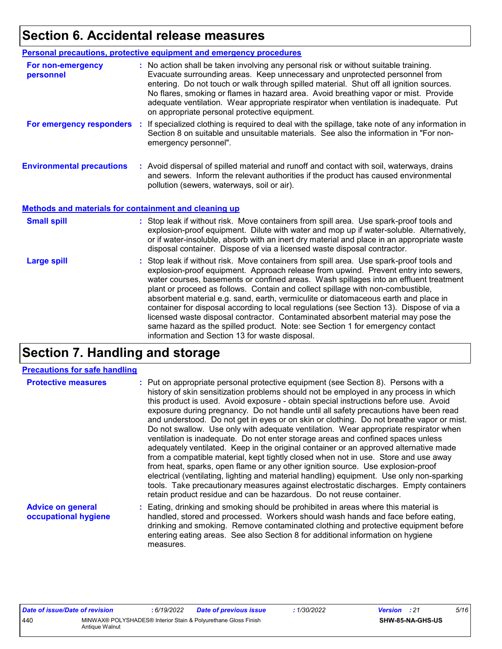### **Section 6. Accidental release measures**

|                                                              | Personal precautions, protective equipment and emergency procedures                                                                                                                                                                                                                                                                                                                                                                                                                                                                                                                                                                                                                                                                                                  |
|--------------------------------------------------------------|----------------------------------------------------------------------------------------------------------------------------------------------------------------------------------------------------------------------------------------------------------------------------------------------------------------------------------------------------------------------------------------------------------------------------------------------------------------------------------------------------------------------------------------------------------------------------------------------------------------------------------------------------------------------------------------------------------------------------------------------------------------------|
| For non-emergency<br>personnel                               | : No action shall be taken involving any personal risk or without suitable training.<br>Evacuate surrounding areas. Keep unnecessary and unprotected personnel from<br>entering. Do not touch or walk through spilled material. Shut off all ignition sources.<br>No flares, smoking or flames in hazard area. Avoid breathing vapor or mist. Provide<br>adequate ventilation. Wear appropriate respirator when ventilation is inadequate. Put<br>on appropriate personal protective equipment.                                                                                                                                                                                                                                                                      |
|                                                              | For emergency responders : If specialized clothing is required to deal with the spillage, take note of any information in<br>Section 8 on suitable and unsuitable materials. See also the information in "For non-<br>emergency personnel".                                                                                                                                                                                                                                                                                                                                                                                                                                                                                                                          |
| <b>Environmental precautions</b>                             | : Avoid dispersal of spilled material and runoff and contact with soil, waterways, drains<br>and sewers. Inform the relevant authorities if the product has caused environmental<br>pollution (sewers, waterways, soil or air).                                                                                                                                                                                                                                                                                                                                                                                                                                                                                                                                      |
| <b>Methods and materials for containment and cleaning up</b> |                                                                                                                                                                                                                                                                                                                                                                                                                                                                                                                                                                                                                                                                                                                                                                      |
| <b>Small spill</b>                                           | : Stop leak if without risk. Move containers from spill area. Use spark-proof tools and<br>explosion-proof equipment. Dilute with water and mop up if water-soluble. Alternatively,<br>or if water-insoluble, absorb with an inert dry material and place in an appropriate waste<br>disposal container. Dispose of via a licensed waste disposal contractor.                                                                                                                                                                                                                                                                                                                                                                                                        |
| <b>Large spill</b>                                           | : Stop leak if without risk. Move containers from spill area. Use spark-proof tools and<br>explosion-proof equipment. Approach release from upwind. Prevent entry into sewers,<br>water courses, basements or confined areas. Wash spillages into an effluent treatment<br>plant or proceed as follows. Contain and collect spillage with non-combustible,<br>absorbent material e.g. sand, earth, vermiculite or diatomaceous earth and place in<br>container for disposal according to local regulations (see Section 13). Dispose of via a<br>licensed waste disposal contractor. Contaminated absorbent material may pose the<br>same hazard as the spilled product. Note: see Section 1 for emergency contact<br>information and Section 13 for waste disposal. |

### **Section 7. Handling and storage**

#### **Precautions for safe handling**

| <b>Protective measures</b>                       | : Put on appropriate personal protective equipment (see Section 8). Persons with a<br>history of skin sensitization problems should not be employed in any process in which<br>this product is used. Avoid exposure - obtain special instructions before use. Avoid<br>exposure during pregnancy. Do not handle until all safety precautions have been read<br>and understood. Do not get in eyes or on skin or clothing. Do not breathe vapor or mist.<br>Do not swallow. Use only with adequate ventilation. Wear appropriate respirator when<br>ventilation is inadequate. Do not enter storage areas and confined spaces unless<br>adequately ventilated. Keep in the original container or an approved alternative made<br>from a compatible material, kept tightly closed when not in use. Store and use away<br>from heat, sparks, open flame or any other ignition source. Use explosion-proof<br>electrical (ventilating, lighting and material handling) equipment. Use only non-sparking<br>tools. Take precautionary measures against electrostatic discharges. Empty containers<br>retain product residue and can be hazardous. Do not reuse container. |
|--------------------------------------------------|----------------------------------------------------------------------------------------------------------------------------------------------------------------------------------------------------------------------------------------------------------------------------------------------------------------------------------------------------------------------------------------------------------------------------------------------------------------------------------------------------------------------------------------------------------------------------------------------------------------------------------------------------------------------------------------------------------------------------------------------------------------------------------------------------------------------------------------------------------------------------------------------------------------------------------------------------------------------------------------------------------------------------------------------------------------------------------------------------------------------------------------------------------------------|
| <b>Advice on general</b><br>occupational hygiene | : Eating, drinking and smoking should be prohibited in areas where this material is<br>handled, stored and processed. Workers should wash hands and face before eating,<br>drinking and smoking. Remove contaminated clothing and protective equipment before<br>entering eating areas. See also Section 8 for additional information on hygiene                                                                                                                                                                                                                                                                                                                                                                                                                                                                                                                                                                                                                                                                                                                                                                                                                     |

measures.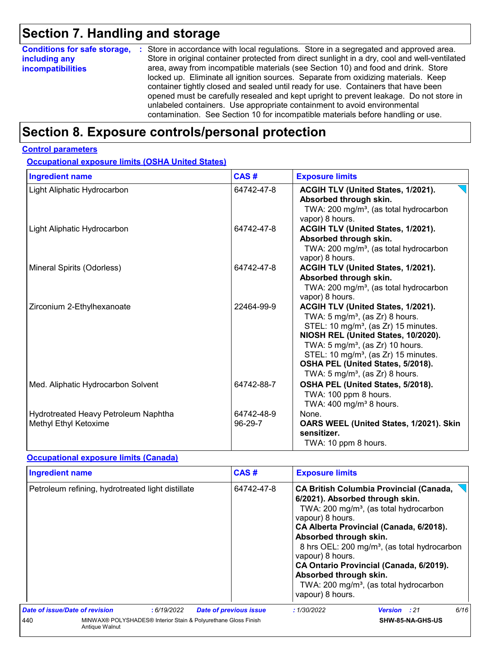## **Section 7. Handling and storage**

| <b>Conditions for safe storage,</b> | : Store in accordance with local regulations. Store in a segregated and approved area.        |
|-------------------------------------|-----------------------------------------------------------------------------------------------|
| including any                       | Store in original container protected from direct sunlight in a dry, cool and well-ventilated |
| <b>incompatibilities</b>            | area, away from incompatible materials (see Section 10) and food and drink. Store             |
|                                     | locked up. Eliminate all ignition sources. Separate from oxidizing materials. Keep            |
|                                     | container tightly closed and sealed until ready for use. Containers that have been            |
|                                     | opened must be carefully resealed and kept upright to prevent leakage. Do not store in        |
|                                     | unlabeled containers. Use appropriate containment to avoid environmental                      |
|                                     | contamination. See Section 10 for incompatible materials before handling or use.              |

### **Section 8. Exposure controls/personal protection**

#### **Control parameters**

**Occupational exposure limits (OSHA United States)**

| <b>Ingredient name</b>                                        | CAS#                  | <b>Exposure limits</b>                                                                                                                                                                                                                                                                                                                                            |
|---------------------------------------------------------------|-----------------------|-------------------------------------------------------------------------------------------------------------------------------------------------------------------------------------------------------------------------------------------------------------------------------------------------------------------------------------------------------------------|
| Light Aliphatic Hydrocarbon                                   | 64742-47-8            | ACGIH TLV (United States, 1/2021).<br>Absorbed through skin.<br>TWA: 200 mg/m <sup>3</sup> , (as total hydrocarbon<br>vapor) 8 hours.                                                                                                                                                                                                                             |
| Light Aliphatic Hydrocarbon                                   | 64742-47-8            | ACGIH TLV (United States, 1/2021).<br>Absorbed through skin.<br>TWA: 200 mg/m <sup>3</sup> , (as total hydrocarbon<br>vapor) 8 hours.                                                                                                                                                                                                                             |
| Mineral Spirits (Odorless)                                    | 64742-47-8            | ACGIH TLV (United States, 1/2021).<br>Absorbed through skin.<br>TWA: 200 mg/m <sup>3</sup> , (as total hydrocarbon<br>vapor) 8 hours.                                                                                                                                                                                                                             |
| Zirconium 2-Ethylhexanoate                                    | 22464-99-9            | ACGIH TLV (United States, 1/2021).<br>TWA: $5 \text{ mg/m}^3$ , (as Zr) 8 hours.<br>STEL: 10 mg/m <sup>3</sup> , (as Zr) 15 minutes.<br>NIOSH REL (United States, 10/2020).<br>TWA: $5 \text{ mg/m}^3$ , (as Zr) 10 hours.<br>STEL: 10 mg/m <sup>3</sup> , (as Zr) 15 minutes.<br>OSHA PEL (United States, 5/2018).<br>TWA: $5 \text{ mg/m}^3$ , (as Zr) 8 hours. |
| Med. Aliphatic Hydrocarbon Solvent                            | 64742-88-7            | OSHA PEL (United States, 5/2018).<br>TWA: 100 ppm 8 hours.<br>TWA: $400 \text{ mg/m}^3$ 8 hours.                                                                                                                                                                                                                                                                  |
| Hydrotreated Heavy Petroleum Naphtha<br>Methyl Ethyl Ketoxime | 64742-48-9<br>96-29-7 | None.<br>OARS WEEL (United States, 1/2021). Skin<br>sensitizer.<br>TWA: 10 ppm 8 hours.                                                                                                                                                                                                                                                                           |

#### **Occupational exposure limits (Canada)**

| <b>Ingredient name</b>         |                                                                                  |            |                               | CAS#       | <b>Exposure limits</b>                                                                                       |                                                                                                                                                                                                                                                                                                                                                 |      |
|--------------------------------|----------------------------------------------------------------------------------|------------|-------------------------------|------------|--------------------------------------------------------------------------------------------------------------|-------------------------------------------------------------------------------------------------------------------------------------------------------------------------------------------------------------------------------------------------------------------------------------------------------------------------------------------------|------|
|                                | Petroleum refining, hydrotreated light distillate                                |            |                               | 64742-47-8 | vapour) 8 hours.<br>Absorbed through skin.<br>vapour) 8 hours.<br>Absorbed through skin.<br>vapour) 8 hours. | <b>CA British Columbia Provincial (Canada,</b><br>6/2021). Absorbed through skin.<br>TWA: 200 mg/m <sup>3</sup> , (as total hydrocarbon<br>CA Alberta Provincial (Canada, 6/2018).<br>8 hrs OEL: 200 mg/m <sup>3</sup> , (as total hydrocarbon<br>CA Ontario Provincial (Canada, 6/2019).<br>TWA: 200 mg/m <sup>3</sup> , (as total hydrocarbon |      |
| Date of issue/Date of revision |                                                                                  | :6/19/2022 | <b>Date of previous issue</b> |            | : 1/30/2022                                                                                                  | <b>Version</b> : 21                                                                                                                                                                                                                                                                                                                             | 6/16 |
| 440                            | MINWAX® POLYSHADES® Interior Stain & Polyurethane Gloss Finish<br>Antique Walnut |            |                               |            |                                                                                                              | SHW-85-NA-GHS-US                                                                                                                                                                                                                                                                                                                                |      |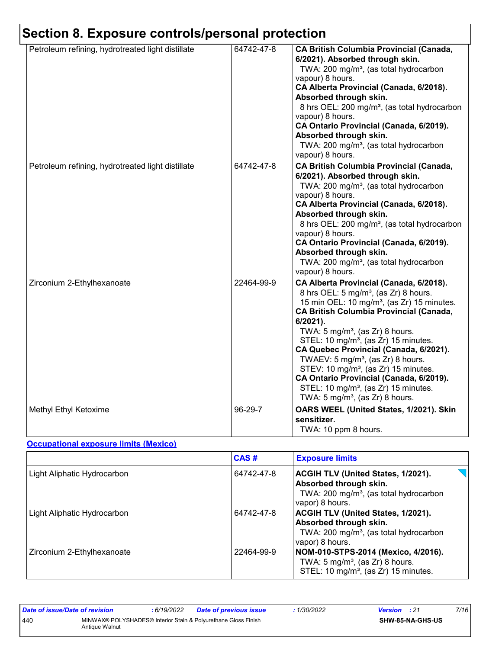## **Section 8. Exposure controls/personal protection**

| Petroleum refining, hydrotreated light distillate | 64742-47-8 | <b>CA British Columbia Provincial (Canada,</b><br>6/2021). Absorbed through skin.<br>TWA: 200 mg/m <sup>3</sup> , (as total hydrocarbon<br>vapour) 8 hours.<br>CA Alberta Provincial (Canada, 6/2018).<br>Absorbed through skin.<br>8 hrs OEL: 200 mg/m <sup>3</sup> , (as total hydrocarbon<br>vapour) 8 hours.<br>CA Ontario Provincial (Canada, 6/2019).<br>Absorbed through skin.<br>TWA: 200 mg/m <sup>3</sup> , (as total hydrocarbon<br>vapour) 8 hours.                                                                                                                                                     |
|---------------------------------------------------|------------|---------------------------------------------------------------------------------------------------------------------------------------------------------------------------------------------------------------------------------------------------------------------------------------------------------------------------------------------------------------------------------------------------------------------------------------------------------------------------------------------------------------------------------------------------------------------------------------------------------------------|
| Petroleum refining, hydrotreated light distillate | 64742-47-8 | <b>CA British Columbia Provincial (Canada,</b><br>6/2021). Absorbed through skin.<br>TWA: 200 mg/m <sup>3</sup> , (as total hydrocarbon<br>vapour) 8 hours.<br>CA Alberta Provincial (Canada, 6/2018).<br>Absorbed through skin.<br>8 hrs OEL: 200 mg/m <sup>3</sup> , (as total hydrocarbon<br>vapour) 8 hours.<br>CA Ontario Provincial (Canada, 6/2019).<br>Absorbed through skin.<br>TWA: 200 mg/m <sup>3</sup> , (as total hydrocarbon<br>vapour) 8 hours.                                                                                                                                                     |
| Zirconium 2-Ethylhexanoate                        | 22464-99-9 | CA Alberta Provincial (Canada, 6/2018).<br>8 hrs OEL: 5 mg/m <sup>3</sup> , (as Zr) 8 hours.<br>15 min OEL: 10 mg/m <sup>3</sup> , (as Zr) 15 minutes.<br><b>CA British Columbia Provincial (Canada,</b><br>6/2021).<br>TWA: 5 mg/m <sup>3</sup> , (as Zr) 8 hours.<br>STEL: 10 mg/m <sup>3</sup> , (as Zr) 15 minutes.<br>CA Quebec Provincial (Canada, 6/2021).<br>TWAEV: 5 mg/m <sup>3</sup> , (as Zr) 8 hours.<br>STEV: 10 mg/m <sup>3</sup> , (as Zr) 15 minutes.<br>CA Ontario Provincial (Canada, 6/2019).<br>STEL: 10 mg/m <sup>3</sup> , (as Zr) 15 minutes.<br>TWA: $5 \text{ mg/m}^3$ , (as Zr) 8 hours. |
| Methyl Ethyl Ketoxime                             | 96-29-7    | OARS WEEL (United States, 1/2021). Skin<br>sensitizer.<br>TWA: 10 ppm 8 hours.                                                                                                                                                                                                                                                                                                                                                                                                                                                                                                                                      |

#### **Occupational exposure limits (Mexico)**

|                                    | CAS#       | <b>Exposure limits</b>                                                                                                                       |
|------------------------------------|------------|----------------------------------------------------------------------------------------------------------------------------------------------|
| Light Aliphatic Hydrocarbon        | 64742-47-8 | <b>ACGIH TLV (United States, 1/2021).</b><br>Absorbed through skin.<br>TWA: 200 mg/m <sup>3</sup> , (as total hydrocarbon<br>vapor) 8 hours. |
| <b>Light Aliphatic Hydrocarbon</b> | 64742-47-8 | <b>ACGIH TLV (United States, 1/2021).</b><br>Absorbed through skin.<br>TWA: 200 mg/m <sup>3</sup> , (as total hydrocarbon<br>vapor) 8 hours. |
| Zirconium 2-Ethylhexanoate         | 22464-99-9 | NOM-010-STPS-2014 (Mexico, 4/2016).<br>TWA: $5 \text{ mg/m}^3$ , (as Zr) 8 hours.<br>STEL: 10 mg/m <sup>3</sup> , (as Zr) 15 minutes.        |

| Date of issue/Date of revision |                                                                                  | 6/19/2022 | <b>Date of previous issue</b> | : 1/30/2022 | <b>Version</b> : 21 |                         | 7/16 |
|--------------------------------|----------------------------------------------------------------------------------|-----------|-------------------------------|-------------|---------------------|-------------------------|------|
| 440                            | MINWAX® POLYSHADES® Interior Stain & Polyurethane Gloss Finish<br>Antique Walnut |           |                               |             |                     | <b>SHW-85-NA-GHS-US</b> |      |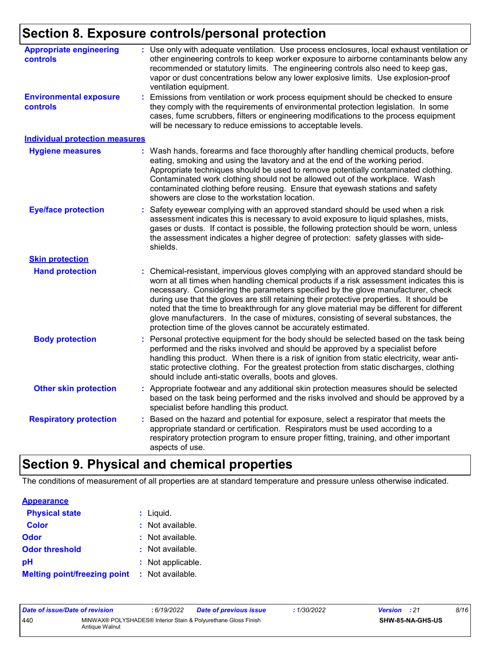## **Section 8. Exposure controls/personal protection**

| <b>Appropriate engineering</b><br>controls       | : Use only with adequate ventilation. Use process enclosures, local exhaust ventilation or<br>other engineering controls to keep worker exposure to airborne contaminants below any<br>recommended or statutory limits. The engineering controls also need to keep gas,<br>vapor or dust concentrations below any lower explosive limits. Use explosion-proof<br>ventilation equipment.                                                                                                                                                                                                                              |
|--------------------------------------------------|----------------------------------------------------------------------------------------------------------------------------------------------------------------------------------------------------------------------------------------------------------------------------------------------------------------------------------------------------------------------------------------------------------------------------------------------------------------------------------------------------------------------------------------------------------------------------------------------------------------------|
| <b>Environmental exposure</b><br><b>controls</b> | Emissions from ventilation or work process equipment should be checked to ensure<br>they comply with the requirements of environmental protection legislation. In some<br>cases, fume scrubbers, filters or engineering modifications to the process equipment<br>will be necessary to reduce emissions to acceptable levels.                                                                                                                                                                                                                                                                                        |
| <b>Individual protection measures</b>            |                                                                                                                                                                                                                                                                                                                                                                                                                                                                                                                                                                                                                      |
| <b>Hygiene measures</b>                          | : Wash hands, forearms and face thoroughly after handling chemical products, before<br>eating, smoking and using the lavatory and at the end of the working period.<br>Appropriate techniques should be used to remove potentially contaminated clothing.<br>Contaminated work clothing should not be allowed out of the workplace. Wash<br>contaminated clothing before reusing. Ensure that eyewash stations and safety<br>showers are close to the workstation location.                                                                                                                                          |
| <b>Eye/face protection</b>                       | Safety eyewear complying with an approved standard should be used when a risk<br>assessment indicates this is necessary to avoid exposure to liquid splashes, mists,<br>gases or dusts. If contact is possible, the following protection should be worn, unless<br>the assessment indicates a higher degree of protection: safety glasses with side-<br>shields.                                                                                                                                                                                                                                                     |
| <b>Skin protection</b>                           |                                                                                                                                                                                                                                                                                                                                                                                                                                                                                                                                                                                                                      |
| <b>Hand protection</b>                           | Chemical-resistant, impervious gloves complying with an approved standard should be<br>worn at all times when handling chemical products if a risk assessment indicates this is<br>necessary. Considering the parameters specified by the glove manufacturer, check<br>during use that the gloves are still retaining their protective properties. It should be<br>noted that the time to breakthrough for any glove material may be different for different<br>glove manufacturers. In the case of mixtures, consisting of several substances, the<br>protection time of the gloves cannot be accurately estimated. |
| <b>Body protection</b>                           | Personal protective equipment for the body should be selected based on the task being<br>performed and the risks involved and should be approved by a specialist before<br>handling this product. When there is a risk of ignition from static electricity, wear anti-<br>static protective clothing. For the greatest protection from static discharges, clothing<br>should include anti-static overalls, boots and gloves.                                                                                                                                                                                         |
| <b>Other skin protection</b>                     | Appropriate footwear and any additional skin protection measures should be selected<br>based on the task being performed and the risks involved and should be approved by a<br>specialist before handling this product.                                                                                                                                                                                                                                                                                                                                                                                              |
| <b>Respiratory protection</b>                    | Based on the hazard and potential for exposure, select a respirator that meets the<br>appropriate standard or certification. Respirators must be used according to a<br>respiratory protection program to ensure proper fitting, training, and other important<br>aspects of use.                                                                                                                                                                                                                                                                                                                                    |
|                                                  |                                                                                                                                                                                                                                                                                                                                                                                                                                                                                                                                                                                                                      |

### **Section 9. Physical and chemical properties**

The conditions of measurement of all properties are at standard temperature and pressure unless otherwise indicated.

| <b>Appearance</b>                   |                   |
|-------------------------------------|-------------------|
| <b>Physical state</b>               | : Liquid.         |
| <b>Color</b>                        | : Not available.  |
| <b>Odor</b>                         | : Not available.  |
| <b>Odor threshold</b>               | : Not available.  |
| рH                                  | : Not applicable. |
| <b>Melting point/freezing point</b> | : Not available.  |

| Date of issue/Date of revision |                                                                                  | 6/19/2022 | <b>Date of previous issue</b> | .1/30/2022 | <b>Version</b> : 21 |                         | 8/16 |
|--------------------------------|----------------------------------------------------------------------------------|-----------|-------------------------------|------------|---------------------|-------------------------|------|
| 440                            | MINWAX® POLYSHADES® Interior Stain & Polyurethane Gloss Finish<br>Antique Walnut |           |                               |            |                     | <b>SHW-85-NA-GHS-US</b> |      |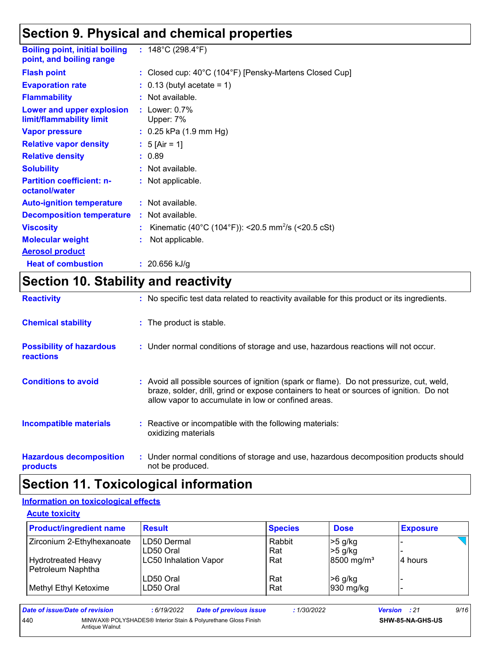### **Section 9. Physical and chemical properties**

| <b>Boiling point, initial boiling</b><br>point, and boiling range | : $148^{\circ}$ C (298.4 $^{\circ}$ F)                         |
|-------------------------------------------------------------------|----------------------------------------------------------------|
| <b>Flash point</b>                                                | : Closed cup: 40°C (104°F) [Pensky-Martens Closed Cup]         |
| <b>Evaporation rate</b>                                           | $\therefore$ 0.13 (butyl acetate = 1)                          |
| <b>Flammability</b>                                               | : Not available.                                               |
| Lower and upper explosion<br>limit/flammability limit             | : Lower: $0.7\%$<br>Upper: 7%                                  |
| <b>Vapor pressure</b>                                             | $: 0.25$ kPa $(1.9$ mm Hg)                                     |
| <b>Relative vapor density</b>                                     | : 5 [Air = 1]                                                  |
| <b>Relative density</b>                                           | : 0.89                                                         |
| <b>Solubility</b>                                                 | : Not available.                                               |
| <b>Partition coefficient: n-</b><br>octanol/water                 | : Not applicable.                                              |
| <b>Auto-ignition temperature</b>                                  | : Not available.                                               |
| <b>Decomposition temperature</b>                                  | $:$ Not available.                                             |
| <b>Viscosity</b>                                                  | Kinematic (40°C (104°F)): <20.5 mm <sup>2</sup> /s (<20.5 cSt) |
| <b>Molecular weight</b>                                           | Not applicable.                                                |
| <b>Aerosol product</b>                                            |                                                                |
| <b>Heat of combustion</b>                                         | : $20.656$ kJ/g                                                |

### **Section 10. Stability and reactivity**

| <b>Reactivity</b>                            | : No specific test data related to reactivity available for this product or its ingredients.                                                                                                                                               |
|----------------------------------------------|--------------------------------------------------------------------------------------------------------------------------------------------------------------------------------------------------------------------------------------------|
| <b>Chemical stability</b>                    | : The product is stable.                                                                                                                                                                                                                   |
| <b>Possibility of hazardous</b><br>reactions | : Under normal conditions of storage and use, hazardous reactions will not occur.                                                                                                                                                          |
| <b>Conditions to avoid</b>                   | : Avoid all possible sources of ignition (spark or flame). Do not pressurize, cut, weld,<br>braze, solder, drill, grind or expose containers to heat or sources of ignition. Do not<br>allow vapor to accumulate in low or confined areas. |
| <b>Incompatible materials</b>                | Reactive or incompatible with the following materials:<br>oxidizing materials                                                                                                                                                              |
| <b>Hazardous decomposition</b><br>products   | : Under normal conditions of storage and use, hazardous decomposition products should<br>not be produced.                                                                                                                                  |

### **Section 11. Toxicological information**

#### **Information on toxicological effects**

#### **Acute toxicity**

| <b>Product/ingredient name</b> | <b>Result</b>                | <b>Species</b> | <b>Dose</b>            | <b>Exposure</b> |
|--------------------------------|------------------------------|----------------|------------------------|-----------------|
| Zirconium 2-Ethylhexanoate     | ILD50 Dermal                 | Rabbit         | $>5$ g/kg              |                 |
|                                | LD50 Oral                    | Rat            | $>5$ g/kg              |                 |
| <b>Hydrotreated Heavy</b>      | <b>LC50 Inhalation Vapor</b> | Rat            | 8500 mg/m <sup>3</sup> | 4 hours         |
| Petroleum Naphtha              |                              |                |                        |                 |
|                                | LD50 Oral                    | Rat            | $>6$ g/kg              |                 |
| Methyl Ethyl Ketoxime          | LD50 Oral                    | Rat            | 930 mg/kg              |                 |

| Date of issue/Date of revision |                                                                                  | : 6/19/2022 | <b>Date of previous issue</b> | : 1/30/2022 | <b>Version</b> : 21 |                         | 9/16 |
|--------------------------------|----------------------------------------------------------------------------------|-------------|-------------------------------|-------------|---------------------|-------------------------|------|
| 440                            | MINWAX® POLYSHADES® Interior Stain & Polyurethane Gloss Finish<br>Antique Walnut |             |                               |             |                     | <b>SHW-85-NA-GHS-US</b> |      |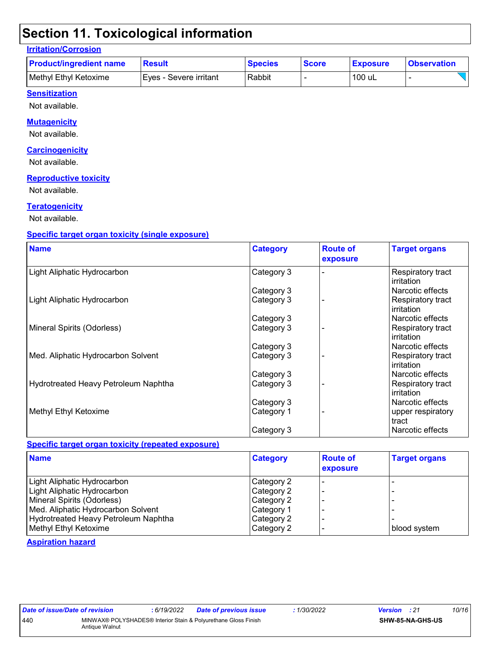### **Section 11. Toxicological information**

#### **Irritation/Corrosion**

| <b>Product/ingredient name</b> | <b>Result</b>           | <b>Species</b> | <b>Score</b> | <b>Exposure</b> | <b>Observation</b> |
|--------------------------------|-------------------------|----------------|--------------|-----------------|--------------------|
| Methyl Ethyl Ketoxime          | IEves - Severe irritant | Rabbit         |              | 100 uL          |                    |

#### **Sensitization**

Not available.

#### **Mutagenicity**

Not available.

#### **Carcinogenicity**

Not available.

#### **Reproductive toxicity**

Not available.

#### **Teratogenicity**

Not available.

#### **Specific target organ toxicity (single exposure)**

| <b>Name</b>                          | <b>Category</b> | <b>Route of</b><br>exposure | <b>Target organs</b>            |
|--------------------------------------|-----------------|-----------------------------|---------------------------------|
| Light Aliphatic Hydrocarbon          | Category 3      |                             | Respiratory tract<br>irritation |
|                                      | Category 3      |                             | Narcotic effects                |
| Light Aliphatic Hydrocarbon          | Category 3      |                             | Respiratory tract<br>irritation |
|                                      | Category 3      |                             | Narcotic effects                |
| Mineral Spirits (Odorless)           | Category 3      |                             | Respiratory tract<br>irritation |
|                                      | Category 3      |                             | Narcotic effects                |
| Med. Aliphatic Hydrocarbon Solvent   | Category 3      |                             | Respiratory tract<br>irritation |
|                                      | Category 3      |                             | Narcotic effects                |
| Hydrotreated Heavy Petroleum Naphtha | Category 3      |                             | Respiratory tract<br>irritation |
|                                      | Category 3      |                             | Narcotic effects                |
| Methyl Ethyl Ketoxime                | Category 1      |                             | upper respiratory<br>tract      |
|                                      | Category 3      |                             | Narcotic effects                |

#### **Specific target organ toxicity (repeated exposure)**

| <b>Name</b>                          | <b>Category</b> | <b>Route of</b><br>exposure | <b>Target organs</b> |
|--------------------------------------|-----------------|-----------------------------|----------------------|
| Light Aliphatic Hydrocarbon          | Category 2      |                             |                      |
| Light Aliphatic Hydrocarbon          | Category 2      |                             |                      |
| Mineral Spirits (Odorless)           | Category 2      |                             |                      |
| Med. Aliphatic Hydrocarbon Solvent   | Category 1      |                             |                      |
| Hydrotreated Heavy Petroleum Naphtha | Category 2      |                             |                      |
| Methyl Ethyl Ketoxime                | Category 2      |                             | blood system         |

#### **Aspiration hazard**

| Date of issue/Date of revision |                | : 6/19/2022 | <b>Date of previous issue</b>                                  | 1/30/2022 | <b>Version</b> : 21 |                         | 10/16 |
|--------------------------------|----------------|-------------|----------------------------------------------------------------|-----------|---------------------|-------------------------|-------|
| 440                            | Antique Walnut |             | MINWAX® POLYSHADES® Interior Stain & Polyurethane Gloss Finish |           |                     | <b>SHW-85-NA-GHS-US</b> |       |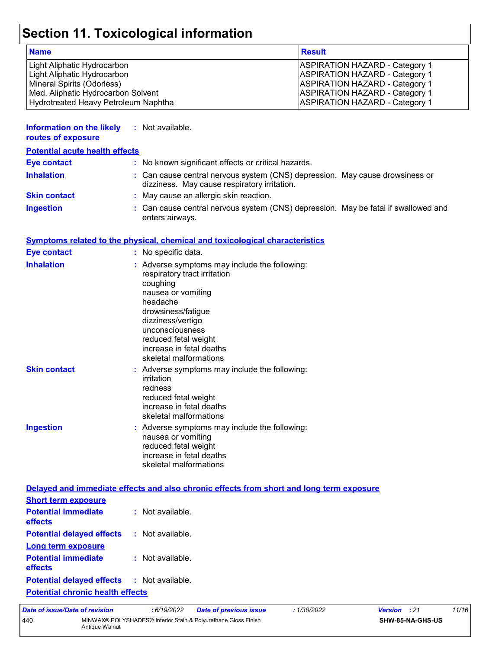## **Section 11. Toxicological information**

| <b>Name</b>                          | <b>Result</b>                         |
|--------------------------------------|---------------------------------------|
| Light Aliphatic Hydrocarbon          | <b>ASPIRATION HAZARD - Category 1</b> |
| Light Aliphatic Hydrocarbon          | <b>ASPIRATION HAZARD - Category 1</b> |
| Mineral Spirits (Odorless)           | <b>ASPIRATION HAZARD - Category 1</b> |
| Med. Aliphatic Hydrocarbon Solvent   | <b>ASPIRATION HAZARD - Category 1</b> |
| Hydrotreated Heavy Petroleum Naphtha | <b>ASPIRATION HAZARD - Category 1</b> |

| Information on the likely<br>routes of exposure | : Not available.                                                                                                             |
|-------------------------------------------------|------------------------------------------------------------------------------------------------------------------------------|
| <b>Potential acute health effects</b>           |                                                                                                                              |
| <b>Eye contact</b>                              | : No known significant effects or critical hazards.                                                                          |
| <b>Inhalation</b>                               | : Can cause central nervous system (CNS) depression. May cause drowsiness or<br>dizziness. May cause respiratory irritation. |
| <b>Skin contact</b>                             | : May cause an allergic skin reaction.                                                                                       |
| <b>Ingestion</b>                                | : Can cause central nervous system (CNS) depression. May be fatal if swallowed and<br>enters airways.                        |

#### **Symptoms related to the physical, chemical and toxicological characteristics**

| <b>Eye contact</b>  | : No specific data.                                                                                                                                                                                                                                                     |
|---------------------|-------------------------------------------------------------------------------------------------------------------------------------------------------------------------------------------------------------------------------------------------------------------------|
| <b>Inhalation</b>   | : Adverse symptoms may include the following:<br>respiratory tract irritation<br>coughing<br>nausea or vomiting<br>headache<br>drowsiness/fatigue<br>dizziness/vertigo<br>unconsciousness<br>reduced fetal weight<br>increase in fetal deaths<br>skeletal malformations |
| <b>Skin contact</b> | : Adverse symptoms may include the following:<br>irritation<br>redness<br>reduced fetal weight<br>increase in fetal deaths<br>skeletal malformations                                                                                                                    |
| <b>Ingestion</b>    | : Adverse symptoms may include the following:<br>nausea or vomiting<br>reduced fetal weight<br>increase in fetal deaths<br>skeletal malformations                                                                                                                       |

|                                                               | Delayed and immediate effects and also chronic effects from short and long term exposure |
|---------------------------------------------------------------|------------------------------------------------------------------------------------------|
| <b>Short term exposure</b>                                    |                                                                                          |
| <b>Potential immediate : Not available.</b><br><b>effects</b> |                                                                                          |
| <b>Potential delayed effects : Not available.</b>             |                                                                                          |
| Long term exposure                                            |                                                                                          |
| <b>Potential immediate : Not available.</b><br><b>effects</b> |                                                                                          |
| <b>Potential delayed effects : Not available.</b>             |                                                                                          |
| <b>Potential chronic health effects</b>                       |                                                                                          |

*Date of issue/Date of revision* **:** *6/19/2022 Date of previous issue : 1/30/2022 Version : 21 11/16* 440 MINWAX® POLYSHADES® Interior Stain & Polyurethane Gloss Finish Antique Walnut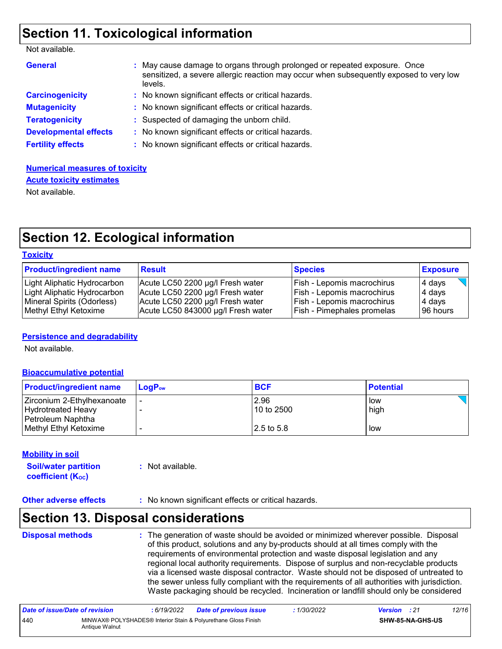### **Section 11. Toxicological information**

| <b>General</b>               | : May cause damage to organs through prolonged or repeated exposure. Once<br>sensitized, a severe allergic reaction may occur when subsequently exposed to very low<br>levels. |
|------------------------------|--------------------------------------------------------------------------------------------------------------------------------------------------------------------------------|
| <b>Carcinogenicity</b>       | : No known significant effects or critical hazards.                                                                                                                            |
| <b>Mutagenicity</b>          | : No known significant effects or critical hazards.                                                                                                                            |
| <b>Teratogenicity</b>        | : Suspected of damaging the unborn child.                                                                                                                                      |
| <b>Developmental effects</b> | : No known significant effects or critical hazards.                                                                                                                            |
| <b>Fertility effects</b>     | : No known significant effects or critical hazards.                                                                                                                            |

### **Numerical measures of toxicity Acute toxicity estimates**

Not available.

### **Section 12. Ecological information**

| <b>Toxicity</b> |
|-----------------|
|-----------------|

| <b>Product/ingredient name</b> | <b>Result</b>                      | <b>Species</b>                    | <b>Exposure</b> |
|--------------------------------|------------------------------------|-----------------------------------|-----------------|
| Light Aliphatic Hydrocarbon    | Acute LC50 2200 µg/l Fresh water   | Fish - Lepomis macrochirus        | 4 days          |
| Light Aliphatic Hydrocarbon    | Acute LC50 2200 µg/l Fresh water   | Fish - Lepomis macrochirus        | 4 days          |
| Mineral Spirits (Odorless)     | Acute LC50 2200 µg/l Fresh water   | Fish - Lepomis macrochirus        | 4 days          |
| Methyl Ethyl Ketoxime          | Acute LC50 843000 µg/l Fresh water | <b>Fish - Pimephales promelas</b> | 96 hours        |

#### **Persistence and degradability**

Not available.

#### **Bioaccumulative potential**

| <b>Product/ingredient name</b> | <b>LogP</b> <sub>ow</sub> | <b>BCF</b> | <b>Potential</b> |
|--------------------------------|---------------------------|------------|------------------|
| Zirconium 2-Ethylhexanoate     |                           | 2.96       | low              |
| Hydrotreated Heavy             |                           | 10 to 2500 | high             |
| Petroleum Naphtha              |                           |            |                  |
| Methyl Ethyl Ketoxime          |                           | 2.5 to 5.8 | low              |

#### **Mobility in soil**

**Soil/water partition coefficient (KOC) :** Not available.

**Other adverse effects** : No known significant effects or critical hazards.

### **Section 13. Disposal considerations**

| <b>Disposal methods</b> | : The generation of waste should be avoided or minimized wherever possible. Disposal<br>of this product, solutions and any by-products should at all times comply with the<br>requirements of environmental protection and waste disposal legislation and any<br>regional local authority requirements. Dispose of surplus and non-recyclable products<br>via a licensed waste disposal contractor. Waste should not be disposed of untreated to<br>the sewer unless fully compliant with the requirements of all authorities with jurisdiction.<br>Waste packaging should be recycled. Incineration or landfill should only be considered |
|-------------------------|--------------------------------------------------------------------------------------------------------------------------------------------------------------------------------------------------------------------------------------------------------------------------------------------------------------------------------------------------------------------------------------------------------------------------------------------------------------------------------------------------------------------------------------------------------------------------------------------------------------------------------------------|
|                         |                                                                                                                                                                                                                                                                                                                                                                                                                                                                                                                                                                                                                                            |

| Date of issue/Date of revision |                | : 6/19/2022 | <b>Date of previous issue</b>                                  | : 1/30/2022 | <b>Version</b> : 21 |                         | 12/16 |
|--------------------------------|----------------|-------------|----------------------------------------------------------------|-------------|---------------------|-------------------------|-------|
| 440                            | Antique Walnut |             | MINWAX® POLYSHADES® Interior Stain & Polyurethane Gloss Finish |             |                     | <b>SHW-85-NA-GHS-US</b> |       |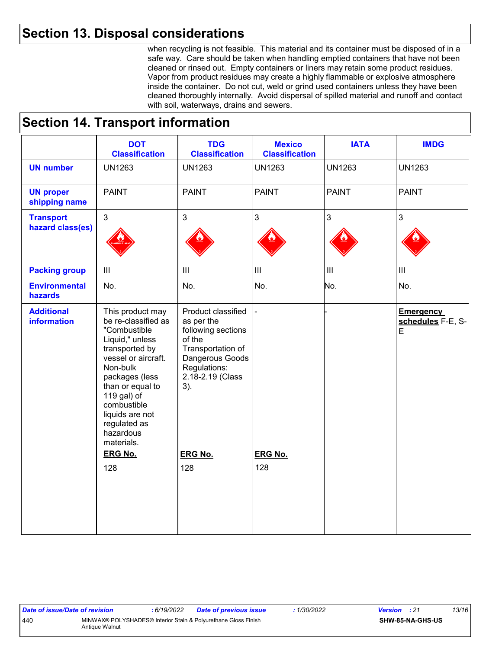### **Section 13. Disposal considerations**

when recycling is not feasible. This material and its container must be disposed of in a safe way. Care should be taken when handling emptied containers that have not been cleaned or rinsed out. Empty containers or liners may retain some product residues. Vapor from product residues may create a highly flammable or explosive atmosphere inside the container. Do not cut, weld or grind used containers unless they have been cleaned thoroughly internally. Avoid dispersal of spilled material and runoff and contact with soil, waterways, drains and sewers.

### **Section 14. Transport information**

|                                         | <b>DOT</b><br><b>Classification</b>                                                                                                                                                                                                                               | <b>TDG</b><br><b>Classification</b>                                                                                                                 | <b>Mexico</b><br><b>Classification</b> | <b>IATA</b>       | <b>IMDG</b>                                |
|-----------------------------------------|-------------------------------------------------------------------------------------------------------------------------------------------------------------------------------------------------------------------------------------------------------------------|-----------------------------------------------------------------------------------------------------------------------------------------------------|----------------------------------------|-------------------|--------------------------------------------|
| <b>UN number</b>                        | <b>UN1263</b>                                                                                                                                                                                                                                                     | <b>UN1263</b>                                                                                                                                       | <b>UN1263</b>                          | <b>UN1263</b>     | <b>UN1263</b>                              |
| <b>UN proper</b><br>shipping name       | <b>PAINT</b>                                                                                                                                                                                                                                                      | <b>PAINT</b>                                                                                                                                        | <b>PAINT</b>                           | <b>PAINT</b>      | <b>PAINT</b>                               |
| <b>Transport</b><br>hazard class(es)    | $\overline{3}$                                                                                                                                                                                                                                                    | $\mathbf{3}$                                                                                                                                        | 3                                      | 3                 | $\mathfrak{S}$                             |
| <b>Packing group</b>                    | $\mathbf{III}$                                                                                                                                                                                                                                                    | $\  \ $                                                                                                                                             | $\mathop{\rm III}$                     | $\vert\vert\vert$ | $\ensuremath{\mathsf{III}}\xspace$         |
| <b>Environmental</b><br>hazards         | No.                                                                                                                                                                                                                                                               | No.                                                                                                                                                 | No.                                    | No.               | No.                                        |
| <b>Additional</b><br><b>information</b> | This product may<br>be re-classified as<br>"Combustible<br>Liquid," unless<br>transported by<br>vessel or aircraft.<br>Non-bulk<br>packages (less<br>than or equal to<br>119 gal) of<br>combustible<br>liquids are not<br>regulated as<br>hazardous<br>materials. | Product classified<br>as per the<br>following sections<br>of the<br>Transportation of<br>Dangerous Goods<br>Regulations:<br>2.18-2.19 (Class<br>3). |                                        |                   | <b>Emergency</b><br>schedules F-E, S-<br>E |
|                                         | <b>ERG No.</b><br>128                                                                                                                                                                                                                                             | <b>ERG No.</b><br>128                                                                                                                               | <b>ERG No.</b><br>128                  |                   |                                            |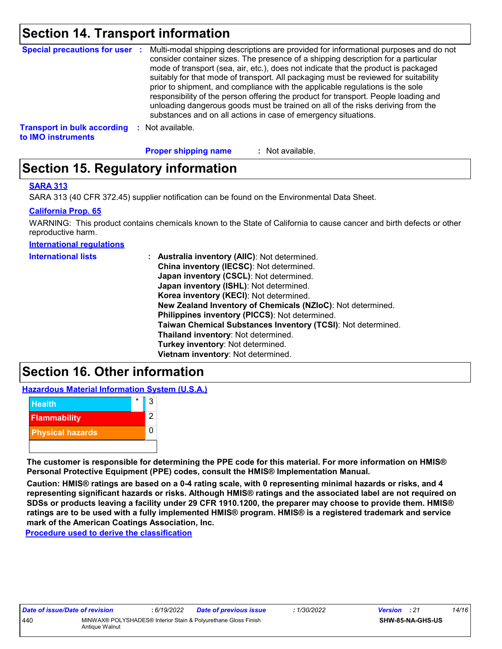### **Section 14. Transport information**

|                                    | Special precautions for user : Multi-modal shipping descriptions are provided for informational purposes and do not<br>consider container sizes. The presence of a shipping description for a particular<br>mode of transport (sea, air, etc.), does not indicate that the product is packaged<br>suitably for that mode of transport. All packaging must be reviewed for suitability<br>prior to shipment, and compliance with the applicable regulations is the sole<br>responsibility of the person offering the product for transport. People loading and<br>unloading dangerous goods must be trained on all of the risks deriving from the<br>substances and on all actions in case of emergency situations. |
|------------------------------------|--------------------------------------------------------------------------------------------------------------------------------------------------------------------------------------------------------------------------------------------------------------------------------------------------------------------------------------------------------------------------------------------------------------------------------------------------------------------------------------------------------------------------------------------------------------------------------------------------------------------------------------------------------------------------------------------------------------------|
| <b>Transport in bulk according</b> | Not available.                                                                                                                                                                                                                                                                                                                                                                                                                                                                                                                                                                                                                                                                                                     |

**to IMO instruments**

**Proper shipping name :**

: Not available.

### **Section 15. Regulatory information**

#### **SARA 313**

SARA 313 (40 CFR 372.45) supplier notification can be found on the Environmental Data Sheet.

#### **California Prop. 65**

WARNING: This product contains chemicals known to the State of California to cause cancer and birth defects or other reproductive harm.

**International regulations**

| <b>International lists</b> | : Australia inventory (AIIC): Not determined.<br>China inventory (IECSC): Not determined.<br>Japan inventory (CSCL): Not determined.<br>Japan inventory (ISHL): Not determined.<br>Korea inventory (KECI): Not determined.<br>New Zealand Inventory of Chemicals (NZIoC): Not determined.<br>Philippines inventory (PICCS): Not determined.<br>Taiwan Chemical Substances Inventory (TCSI): Not determined.<br>Thailand inventory: Not determined.<br>Turkey inventory: Not determined. |
|----------------------------|-----------------------------------------------------------------------------------------------------------------------------------------------------------------------------------------------------------------------------------------------------------------------------------------------------------------------------------------------------------------------------------------------------------------------------------------------------------------------------------------|
|                            | Vietnam inventory: Not determined.                                                                                                                                                                                                                                                                                                                                                                                                                                                      |
|                            |                                                                                                                                                                                                                                                                                                                                                                                                                                                                                         |

### **Section 16. Other information**

**Hazardous Material Information System (U.S.A.)**



**The customer is responsible for determining the PPE code for this material. For more information on HMIS® Personal Protective Equipment (PPE) codes, consult the HMIS® Implementation Manual.**

**Caution: HMIS® ratings are based on a 0-4 rating scale, with 0 representing minimal hazards or risks, and 4 representing significant hazards or risks. Although HMIS® ratings and the associated label are not required on SDSs or products leaving a facility under 29 CFR 1910.1200, the preparer may choose to provide them. HMIS® ratings are to be used with a fully implemented HMIS® program. HMIS® is a registered trademark and service mark of the American Coatings Association, Inc.**

**Procedure used to derive the classification**